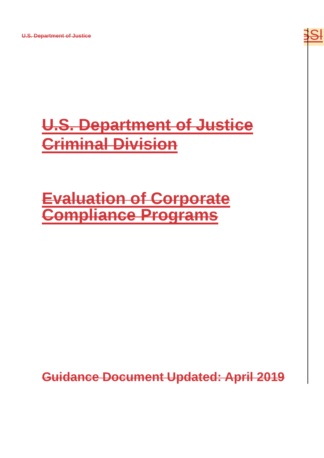**U.S. Department of Justice**



# **U.S. Department of Justice Criminal Division**

## **Evaluation of Corporate Compliance Programs**

**Guidance Document Updated: April 2019**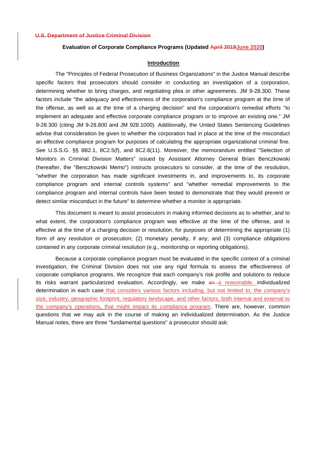#### **Evaluation of Corporate Compliance Programs (Updated April 2019June 2020)**

## **Introduction**

The "Principles of Federal Prosecution of Business Organizations" in the Justice Manual describe specific factors that prosecutors should consider in conducting an investigation of a corporation, determining whether to bring charges, and negotiating plea or other agreements. JM 9-28.300. These factors include "the adequacy and effectiveness of the corporation's compliance program at the time of the offense, as well as at the time of a charging decision" and the corporation's remedial efforts "to implement an adequate and effective corporate compliance program or to improve an existing one." JM 9-28.300 (citing JM 9-28.800 and JM 928.1000). Additionally, the United States Sentencing Guidelines advise that consideration be given to whether the corporation had in place at the time of the misconduct an effective compliance program for purposes of calculating the appropriate organizational criminal fine. *See* U.S.S.G. §§ 8B2.1, 8C2.5(f), and 8C2.8(11). Moreover, the memorandum entitled "Selection of Monitors in Criminal Division Matters" issued by Assistant Attorney General Brian Benczkowski (hereafter, the "Benczkowski Memo") instructs prosecutors to consider, at the time of the resolution, "whether the corporation has made significant investments in, and improvements to, its corporate compliance program and internal controls systems" and "whether remedial improvements to the compliance program and internal controls have been tested to demonstrate that they would prevent or detect similar misconduct in the future" to determine whether a monitor is appropriate.

This document is meant to assist prosecutors in making informed decisions as to whether, and to what extent, the corporation's compliance program was effective at the time of the offense, and is effective at the time of a charging decision or resolution, for purposes of determining the appropriate (1) form of any resolution or prosecution; (2) monetary penalty, if any; and (3) compliance obligations contained in any corporate criminal resolution (e.g., monitorship or reporting obligations).

Because a corporate compliance program must be evaluated in the specific context of a criminal investigation, the Criminal Division does not use any rigid formula to assess the effectiveness of corporate compliance programs. We recognize that each company's risk profile and solutions to reduce its risks warrant particularized evaluation. Accordingly, we make an a reasonable, individualized determination in each case that considers various factors including, but not limited to, the company's size, industry, geographic footprint, regulatory landscape, and other factors, both internal and external to the company's operations, that might impact its compliance program. There are, however, common questions that we may ask in the course of making an individualized determination. As the Justice Manual notes, there are three "fundamental questions" a prosecutor should ask: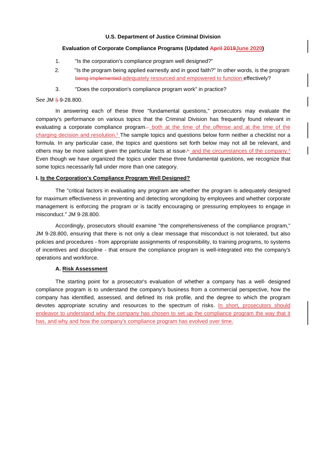## **Evaluation of Corporate Compliance Programs (Updated April 2019June 2020)**

- 1. "Is the corporation's compliance program well designed?"
- 2. "Is the program being applied earnestly and in good faith?" In other words, is the program being implemented adequately resourced and empowered to function effectively?
- 3. "Does the corporation's compliance program work" in practice?

## See JM § 9-28.800.

In answering each of these three "fundamental questions," prosecutors may evaluate the company's performance on various topics that the Criminal Division has frequently found relevant in evaluating a corporate compliance program. both at the time of the offense and at the time of the charging decision and resolution.<sup>1</sup> The sample topics and questions below form neither a checklist nor a formula. In any particular case, the topics and questions set forth below may not all be relevant, and others may be more salient given the particular facts at issue<sup>1</sup> and the circumstances of the company.<sup>2</sup> Even though we have organized the topics under these three fundamental questions, we recognize that some topics necessarily fall under more than one category.

## **I. Is the Corporation's Compliance Program Well Designed?**

The "critical factors in evaluating any program are whether the program is adequately designed for maximum effectiveness in preventing and detecting wrongdoing by employees and whether corporate management is enforcing the program or is tacitly encouraging or pressuring employees to engage in misconduct." JM 9-28.800.

Accordingly, prosecutors should examine "the comprehensiveness of the compliance program," JM 9-28.800, ensuring that there is not only a clear message that misconduct is not tolerated, but also policies and procedures - from appropriate assignments of responsibility, to training programs, to systems of incentives and discipline - that ensure the compliance program is well-integrated into the company's operations and workforce.

## **A. Risk Assessment**

The starting point for a prosecutor's evaluation of whether a company has a well- designed compliance program is to understand the company's business from a commercial perspective, how the company has identified, assessed, and defined its risk profile, and the degree to which the program devotes appropriate scrutiny and resources to the spectrum of risks. In short, prosecutors should endeavor to understand why the company has chosen to set up the compliance program the way that it has, and why and how the company's compliance program has evolved over time.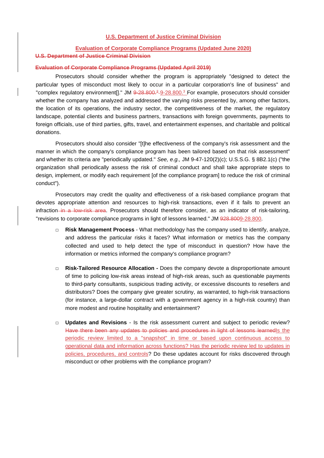## **Evaluation of Corporate Compliance Programs (Updated June 2020)**

#### **U.S. Department of Justice Criminal Division**

#### **Evaluation of Corporate Compliance Programs (Updated April 2019)**

Prosecutors should consider whether the program is appropriately "designed to detect the particular types of misconduct most likely to occur in a particular corporation's line of business" and "complex regulatory environment[]." JM 9-28.800.<sup>2</sup>-9-28.800.<sup>3</sup> For example, prosecutors should consider whether the company has analyzed and addressed the varying risks presented by, among other factors, the location of its operations, the industry sector, the competitiveness of the market, the regulatory landscape, potential clients and business partners, transactions with foreign governments, payments to foreign officials, use of third parties, gifts, travel, and entertainment expenses, and charitable and political donations.

Prosecutors should also consider "[t]he effectiveness of the company's risk assessment and the manner in which the company's compliance program has been tailored based on that risk assessment" and whether its criteria are "periodically updated." *See, e.g.,* JM 9-47-120(2)(c); U.S.S.G. § 8B2.1(c) ("the organization shall periodically assess the risk of criminal conduct and shall take appropriate steps to design, implement, or modify each requirement [of the compliance program] to reduce the risk of criminal conduct").

Prosecutors may credit the quality and effectiveness of a risk-based compliance program that devotes appropriate attention and resources to high-risk transactions, even if it fails to prevent an infraction–in a low-risk area. Prosecutors should therefore consider, as an indicator of risk-tailoring, "revisions to corporate compliance programs in light of lessons learned." JM 928.8009-28.800.

- **□ Risk Management Process** What methodology has the company used to identify, analyze, and address the particular risks it faces? What information or metrics has the company collected and used to help detect the type of misconduct in question? How have the information or metrics informed the company's compliance program?
- **□ Risk-Tailored Resource Allocation -** Does the company devote a disproportionate amount of time to policing low-risk areas instead of high-risk areas, such as questionable payments to third-party consultants, suspicious trading activity, or excessive discounts to resellers and distributors? Does the company give greater scrutiny, as warranted, to high-risk transactions (for instance, a large-dollar contract with a government agency in a high-risk country) than more modest and routine hospitality and entertainment?
- **□ Updates and Revisions** Is the risk assessment current and subject to periodic review? Have there been any updates to policies and procedures in light of lessons learnedIs the periodic review limited to a "snapshot" in time or based upon continuous access to operational data and information across functions? Has the periodic review led to updates in policies, procedures, and controls? Do these updates account for risks discovered through misconduct or other problems with the compliance program?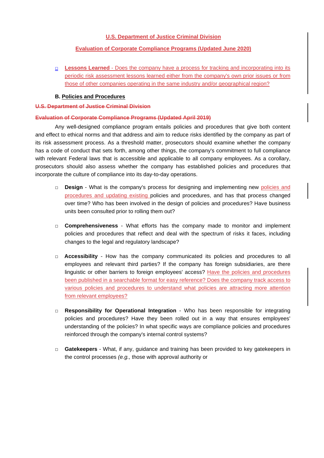## **Evaluation of Corporate Compliance Programs (Updated June 2020)**

**□ Lessons Learned** - Does the company have a process for tracking and incorporating into its periodic risk assessment lessons learned either from the company's own prior issues or from those of other companies operating in the same industry and/or geographical region?

## **B. Policies and Procedures**

## **U.S. Department of Justice Criminal Division**

## **Evaluation of Corporate Compliance Programs (Updated April 2019)**

Any well-designed compliance program entails policies and procedures that give both content and effect to ethical norms and that address and aim to reduce risks identified by the company as part of its risk assessment process. As a threshold matter, prosecutors should examine whether the company has a code of conduct that sets forth, among other things, the company's commitment to full compliance with relevant Federal laws that is accessible and applicable to all company employees. As a corollary, prosecutors should also assess whether the company has established policies and procedures that incorporate the culture of compliance into its day-to-day operations.

- **□ Design** What is the company's process for designing and implementing new policies and procedures and updating existing policies and procedures, and has that process changed over time? Who has been involved in the design of policies and procedures? Have business units been consulted prior to rolling them out?
- **□ Comprehensiveness** What efforts has the company made to monitor and implement policies and procedures that reflect and deal with the spectrum of risks it faces, including changes to the legal and regulatory landscape?
- **□ Accessibility** How has the company communicated its policies and procedures to all employees and relevant third parties? If the company has foreign subsidiaries, are there linguistic or other barriers to foreign employees' access? Have the policies and procedures been published in a searchable format for easy reference? Does the company track access to various policies and procedures to understand what policies are attracting more attention from relevant employees?
- **□ Responsibility for Operational Integration** Who has been responsible for integrating policies and procedures? Have they been rolled out in a way that ensures employees' understanding of the policies? In what specific ways are compliance policies and procedures reinforced through the company's internal control systems?
- **□ Gatekeepers** What, if any, guidance and training has been provided to key gatekeepers in the control processes *(e.g.,* those with approval authority or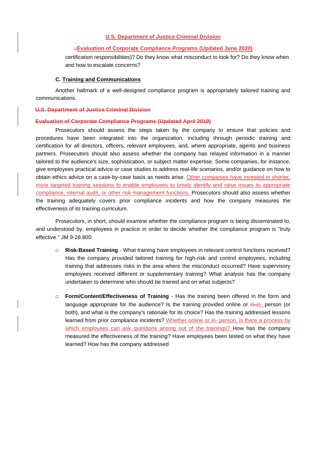#### **□Evaluation of Corporate Compliance Programs (Updated June 2020)**

certification responsibilities)? Do they know what misconduct to look for? Do they know when and how to escalate concerns?

#### **C. Training and Communications**

Another hallmark of a well-designed compliance program is appropriately tailored training and communications.

#### **U.S. Department of Justice Criminal Division**

#### **Evaluation of Corporate Compliance Programs (Updated April 2019)**

Prosecutors should assess the steps taken by the company to ensure that policies and procedures have been integrated into the organization, including through periodic training and certification for all directors, officers, relevant employees, and, where appropriate, agents and business partners. Prosecutors should also assess whether the company has relayed information in a manner tailored to the audience's size, sophistication, or subject matter expertise. Some companies, for instance, give employees practical advice or case studies to address real-life scenarios, and/or guidance on how to obtain ethics advice on a case-by-case basis as needs arise. Other companies have invested in shorter, more targeted training sessions to enable employees to timely identify and raise issues to appropriate compliance, internal audit, or other risk management functions. Prosecutors should also assess whether the training adequately covers prior compliance incidents and how the company measures the effectiveness of its training curriculum.

Prosecutors, in short, should examine whether the compliance program is being disseminated to, and understood by, employees in practice in order to decide whether the compliance program is "truly effective." JM 9-28.800.

- **□ Risk-Based Training** What training have employees in relevant control functions received? Has the company provided tailored training for high-risk and control employees, including training that addresses risks in the area where the misconduct occurred? Have supervisory employees received different or supplementary training? What analysis has the company undertaken to determine who should be trained and on what subjects?
- **□ Form/Content/Effectiveness of Training** Has the training been offered in the form and language appropriate for the audience? Is the training provided online or  $\frac{1}{n-1}$  person (or both), and what is the company's rationale for its choice? Has the training addressed lessons learned from prior compliance incidents? Whether online or in- person, is there a process by which employees can ask questions arising out of the trainings? How has the company measured the effectiveness of the training? Have employees been tested on what they have learned? How has the company addressed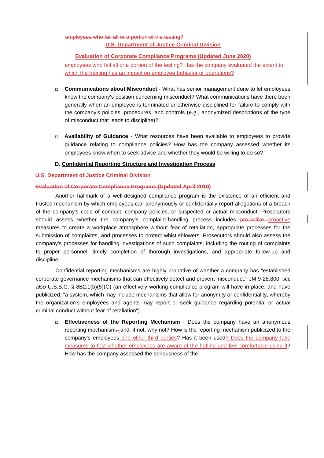## employees who fail all or a portion of the testing? **U.S. Department of Justice Criminal Division**

## **Evaluation of Corporate Compliance Programs (Updated June 2020)**

employees who fail all or a portion of the testing? Has the company evaluated the extent to which the training has an impact on employee behavior or operations?

- **□ Communications about Misconduct** What has senior management done to let employees know the company's position concerning misconduct? What communications have there been generally when an employee is terminated or otherwise disciplined for failure to comply with the company's policies, procedures, and controls (e.g., anonymized descriptions of the type of misconduct that leads to discipline)?
- **□ Availability of Guidance** What resources have been available to employees to provide guidance relating to compliance policies? How has the company assessed whether its employees know when to seek advice and whether they would be willing to do so?

## **D. Confidential Reporting Structure and Investigation Process**

## **U.S. Department of Justice Criminal Division**

## **Evaluation of Corporate Compliance Programs (Updated April 2019)**

Another hallmark of a well-designed compliance program is the existence of an efficient and trusted mechanism by which employees can anonymously or confidentially report allegations of a breach of the company's code of conduct, company policies, or suspected or actual misconduct. Prosecutors should assess whether the company's complaint-handling process includes pro-active proactive measures to create a workplace atmosphere without fear of retaliation, appropriate processes for the submission of complaints, and processes to protect whistleblowers. Prosecutors should also assess the company's processes for handling investigations of such complaints, including the routing of complaints to proper personnel, timely completion of thorough investigations, and appropriate follow-up and discipline.

Confidential reporting mechanisms are highly probative of whether a company has "established corporate governance mechanisms that can effectively detect and prevent misconduct." JM 9-28.800; see *also* U.S.S.G. § 8B2.1(b)(5)(C) (an effectively working compliance program will have in place, and have publicized, "a system, which may include mechanisms that allow for anonymity or confidentiality, whereby the organization's employees and agents may report or seek guidance regarding potential or actual criminal conduct without fear of retaliation").

**Effectiveness of the Reporting Mechanism** - Does the company have an anonymous reporting mechanism, and, if not, why not? How is the reporting mechanism publicized to the company's employees and other third parties? Has it been used? Does the company take measures to test whether employees are aware of the hotline and feel comfortable using it? How has the company assessed the seriousness of the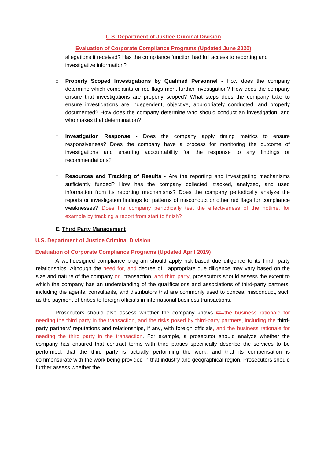#### **Evaluation of Corporate Compliance Programs (Updated June 2020)**

allegations it received? Has the compliance function had full access to reporting and investigative information?

- **□ Properly Scoped Investigations by Qualified Personnel** How does the company determine which complaints or red flags merit further investigation? How does the company ensure that investigations are properly scoped? What steps does the company take to ensure investigations are independent, objective, appropriately conducted, and properly documented? How does the company determine who should conduct an investigation, and who makes that determination?
- **□ Investigation Response** Does the company apply timing metrics to ensure responsiveness? Does the company have a process for monitoring the outcome of investigations and ensuring accountability for the response to any findings or recommendations?
- **□ Resources and Tracking of Results** Are the reporting and investigating mechanisms sufficiently funded? How has the company collected, tracked, analyzed, and used information from its reporting mechanisms? Does the company periodically analyze the reports or investigation findings for patterns of misconduct or other red flags for compliance weaknesses? Does the company periodically test the effectiveness of the hotline, for example by tracking a report from start to finish?

#### **E. Third Party Management**

#### **U.S. Department of Justice Criminal Division**

#### **Evaluation of Corporate Compliance Programs (Updated April 2019)**

A well-designed compliance program should apply risk-based due diligence to its third- party relationships. Although the need for, and degree of-, appropriate due diligence may vary based on the size and nature of the company-or-, transaction, and third party, prosecutors should assess the extent to which the company has an understanding of the qualifications and associations of third-party partners, including the agents, consultants, and distributors that are commonly used to conceal misconduct, such as the payment of bribes to foreign officials in international business transactions.

Prosecutors should also assess whether the company knows its the business rationale for needing the third party in the transaction, and the risks posed by third-party partners, including the thirdparty partners' reputations and relationships, if any, with foreign officials, and the business rationale for needing the third party in the transaction. For example, a prosecutor should analyze whether the company has ensured that contract terms with third parties specifically describe the services to be performed, that the third party is actually performing the work, and that its compensation is commensurate with the work being provided in that industry and geographical region. Prosecutors should further assess whether the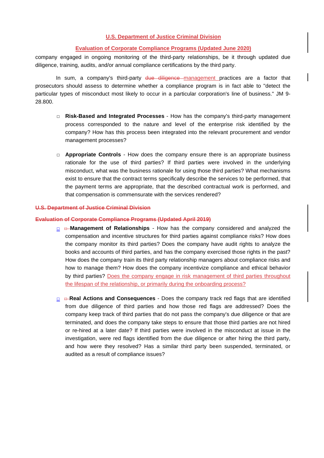## **Evaluation of Corporate Compliance Programs (Updated June 2020)**

company engaged in ongoing monitoring of the third-party relationships, be it through updated due diligence, training, audits, and/or annual compliance certifications by the third party.

In sum, a company's third-party due diligence management practices are a factor that prosecutors should assess to determine whether a compliance program is in fact able to "detect the particular types of misconduct most likely to occur in a particular corporation's line of business." JM 9- 28.800.

- **□ Risk-Based and Integrated Processes** How has the company's third-party management process corresponded to the nature and level of the enterprise risk identified by the company? How has this process been integrated into the relevant procurement and vendor management processes?
- **□ Appropriate Controls** How does the company ensure there is an appropriate business rationale for the use of third parties? If third parties were involved in the underlying misconduct, what was the business rationale for using those third parties? What mechanisms exist to ensure that the contract terms specifically describe the services to be performed, that the payment terms are appropriate, that the described contractual work is performed, and that compensation is commensurate with the services rendered?

## **U.S. Department of Justice Criminal Division**

#### **Evaluation of Corporate Compliance Programs (Updated April 2019)**

- **□** *□* **Management of Relationships** How has the company considered and analyzed the compensation and incentive structures for third parties against compliance risks? How does the company monitor its third parties? Does the company have audit rights to analyze the books and accounts of third parties, and has the company exercised those rights in the past? How does the company train its third party relationship managers about compliance risks and how to manage them? How does the company incentivize compliance and ethical behavior by third parties? Does the company engage in risk management of third parties throughout the lifespan of the relationship, or primarily during the onboarding process?
- **□ □ Real Actions and Consequences** Does the company track red flags that are identified from due diligence of third parties and how those red flags are addressed? Does the company keep track of third parties that do not pass the company's due diligence or that are terminated, and does the company take steps to ensure that those third parties are not hired or re-hired at a later date? If third parties were involved in the misconduct at issue in the investigation, were red flags identified from the due diligence or after hiring the third party, and how were they resolved? Has a similar third party been suspended, terminated, or audited as a result of compliance issues?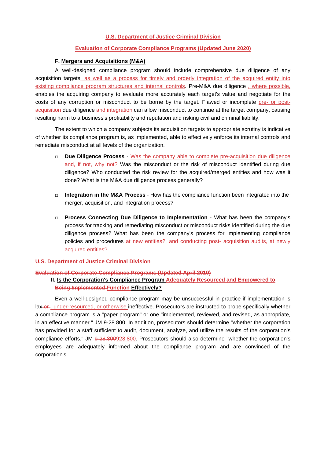#### **Evaluation of Corporate Compliance Programs (Updated June 2020)**

#### **F. Mergers and Acquisitions (M&A)**

A well-designed compliance program should include comprehensive due diligence of any acquisition targets, as well as a process for timely and orderly integration of the acquired entity into existing compliance program structures and internal controls. Pre-M&A due diligence-, where possible, enables the acquiring company to evaluate more accurately each target's value and negotiate for the costs of any corruption or misconduct to be borne by the target. Flawed or incomplete pre- or postacquisition due diligence and integration can allow misconduct to continue at the target company, causing resulting harm to a business's profitability and reputation and risking civil and criminal liability.

The extent to which a company subjects its acquisition targets to appropriate scrutiny is indicative of whether its compliance program is, as implemented, able to effectively enforce its internal controls and remediate misconduct at all levels of the organization.

- **□ Due Diligence Process** Was the company able to complete pre-acquisition due diligence and, if not, why not? Was the misconduct or the risk of misconduct identified during due diligence? Who conducted the risk review for the acquired/merged entities and how was it done? What is the M&A due diligence process generally?
- **□ Integration in the M&A Process** How has the compliance function been integrated into the merger, acquisition, and integration process?
- **□ Process Connecting Due Diligence to Implementation** What has been the company's process for tracking and remediating misconduct or misconduct risks identified during the due diligence process? What has been the company's process for implementing compliance policies and procedures at new entities?, and conducting post- acquisition audits, at newly acquired entities?

#### **U.S. Department of Justice Criminal Division**

#### **Evaluation of Corporate Compliance Programs (Updated April 2019)**

## **II. Is the Corporation's Compliance Program Adequately Resourced and Empowered to Being Implemented Function Effectively?**

Even a well-designed compliance program may be unsuccessful in practice if implementation is lax-or, under-resourced, or otherwise ineffective. Prosecutors are instructed to probe specifically whether a compliance program is a "paper program" or one "implemented, reviewed, and revised, as appropriate, in an effective manner." JM 9-28.800. In addition, prosecutors should determine "whether the corporation has provided for a staff sufficient to audit, document, analyze, and utilize the results of the corporation's compliance efforts." JM 9-28.800928.800. Prosecutors should also determine "whether the corporation's employees are adequately informed about the compliance program and are convinced of the corporation's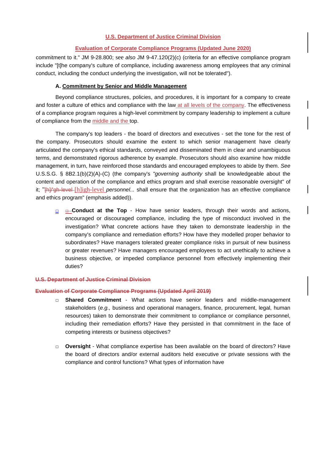## **Evaluation of Corporate Compliance Programs (Updated June 2020)**

commitment to it." JM 9-28.800; see *also* JM 9-47.120(2)(c) (criteria for an effective compliance program include "[t]he company's culture of compliance, including awareness among employees that any criminal conduct, including the conduct underlying the investigation, will not be tolerated").

## **A. Commitment by Senior and Middle Management**

Beyond compliance structures, policies, and procedures, it is important for a company to create and foster a culture of ethics and compliance with the law at all levels of the company. The effectiveness of a compliance program requires a high-level commitment by company leadership to implement a culture of compliance from the middle and the top.

The company's top leaders - the board of directors and executives - set the tone for the rest of the company. Prosecutors should examine the extent to which senior management have clearly articulated the company's ethical standards, conveyed and disseminated them in clear and unambiguous terms, and demonstrated rigorous adherence by example. Prosecutors should also examine how middle management, in turn, have reinforced those standards and encouraged employees to abide by them. *See* U.S.S.G. § 8B2.1(b)(2)(A)-(C) (the company's *"governing authority* shall be knowledgeable about the content and operation of the compliance and ethics program and shall exercise reasonable oversight" of it; "[h]/'gh-level [h]igh-level *personnel...* shall ensure that the organization has an effective compliance and ethics program" (emphasis added)).

**□ □ Conduct at the Top** - How have senior leaders, through their words and actions, encouraged or discouraged compliance, including the type of misconduct involved in the investigation? What concrete actions have they taken to demonstrate leadership in the company's compliance and remediation efforts? How have they modelled proper behavior to subordinates? Have managers tolerated greater compliance risks in pursuit of new business or greater revenues? Have managers encouraged employees to act unethically to achieve a business objective, or impeded compliance personnel from effectively implementing their duties?

## **U.S. Department of Justice Criminal Division**

#### **Evaluation of Corporate Compliance Programs (Updated April 2019)**

- **□ Shared Commitment** What actions have senior leaders and middle-management stakeholders (*e.g.,* business and operational managers, finance, procurement, legal, human resources) taken to demonstrate their commitment to compliance or compliance personnel, including their remediation efforts? Have they persisted in that commitment in the face of competing interests or business objectives?
- **□ Oversight** What compliance expertise has been available on the board of directors? Have the board of directors and/or external auditors held executive or private sessions with the compliance and control functions? What types of information have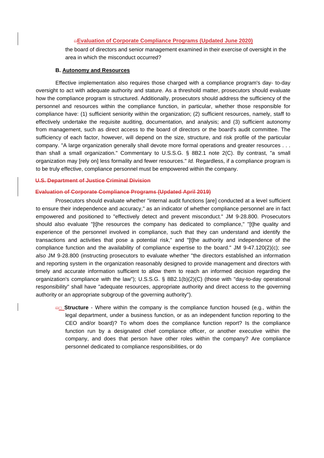## **□Evaluation of Corporate Compliance Programs (Updated June 2020)**

the board of directors and senior management examined in their exercise of oversight in the area in which the misconduct occurred?

#### **B. Autonomy and Resources**

Effective implementation also requires those charged with a compliance program's day- to-day oversight to act with adequate authority and stature. As a threshold matter, prosecutors should evaluate how the compliance program is structured. Additionally, prosecutors should address the sufficiency of the personnel and resources within the compliance function, in particular, whether those responsible for compliance have: (1) sufficient seniority within the organization; (2) sufficient resources, namely, staff to effectively undertake the requisite auditing, documentation, and analysis; and (3) sufficient autonomy from management, such as direct access to the board of directors or the board's audit committee. The sufficiency of each factor, however, will depend on the size, structure, and risk profile of the particular company. "A large organization generally shall devote more formal operations and greater resources . . . than shall a small organization." Commentary to U.S.S.G. § 8B2.1 note 2(C). By contrast, "a small organization may [rely on] less formality and fewer resources." *Id.* Regardless, if a compliance program is to be truly effective, compliance personnel must be empowered within the company.

#### **U.S. Department of Justice Criminal Division**

#### **Evaluation of Corporate Compliance Programs (Updated April 2019)**

Prosecutors should evaluate whether "internal audit functions [are] conducted at a level sufficient to ensure their independence and accuracy," as an indicator of whether compliance personnel are in fact empowered and positioned to "effectively detect and prevent misconduct." JM 9-28.800. Prosecutors should also evaluate "[t]he resources the company has dedicated to compliance," "[t]he quality and experience of the personnel involved in compliance, such that they can understand and identify the transactions and activities that pose a potential risk," and "[t]he authority and independence of the compliance function and the availability of compliance expertise to the board." JM 9-47.120(2)(c); *see also* JM 9-28.800 (instructing prosecutors to evaluate whether "the directors established an information and reporting system in the organization reasonably designed to provide management and directors with timely and accurate information sufficient to allow them to reach an informed decision regarding the organization's compliance with the law"); U.S.S.G. § 8B2.1(b)(2)(C) (those with "day-to-day operational responsibility" shall have "adequate resources, appropriate authority and direct access to the governing authority or an appropriate subgroup of the governing authority").

**□□ Structure** - Where within the company is the compliance function housed (e.g., within the legal department, under a business function, or as an independent function reporting to the CEO and/or board)? To whom does the compliance function report? Is the compliance function run by a designated chief compliance officer, or another executive within the company, and does that person have other roles within the company? Are compliance personnel dedicated to compliance responsibilities, or do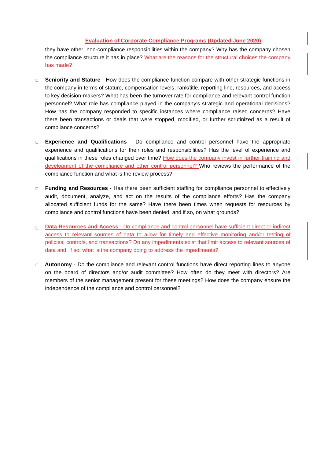## **Evaluation of Corporate Compliance Programs (Updated June 2020)**

they have other, non-compliance responsibilities within the company? Why has the company chosen the compliance structure it has in place? What are the reasons for the structural choices the company has made?

- **□ Seniority and Stature** How does the compliance function compare with other strategic functions in the company in terms of stature, compensation levels, rank/title, reporting line, resources, and access to key decision-makers? What has been the turnover rate for compliance and relevant control function personnel? What role has compliance played in the company's strategic and operational decisions? How has the company responded to specific instances where compliance raised concerns? Have there been transactions or deals that were stopped, modified, or further scrutinized as a result of compliance concerns?
- **□ Experience and Qualifications** Do compliance and control personnel have the appropriate experience and qualifications for their roles and responsibilities? Has the level of experience and qualifications in these roles changed over time? How does the company invest in further training and development of the compliance and other control personnel? Who reviews the performance of the compliance function and what is the review process?
- **□ Funding and Resources** Has there been sufficient staffing for compliance personnel to effectively audit, document, analyze, and act on the results of the compliance efforts? Has the company allocated sufficient funds for the same? Have there been times when requests for resources by compliance and control functions have been denied, and if so, on what grounds?
- **□ Data Resources and Access** Do compliance and control personnel have sufficient direct or indirect access to relevant sources of data to allow for timely and effective monitoring and/or testing of policies, controls, and transactions? Do any impediments exist that limit access to relevant sources of data and, if so, what is the company doing to address the impediments?
- **□ Autonomy** Do the compliance and relevant control functions have direct reporting lines to anyone on the board of directors and/or audit committee? How often do they meet with directors? Are members of the senior management present for these meetings? How does the company ensure the independence of the compliance and control personnel?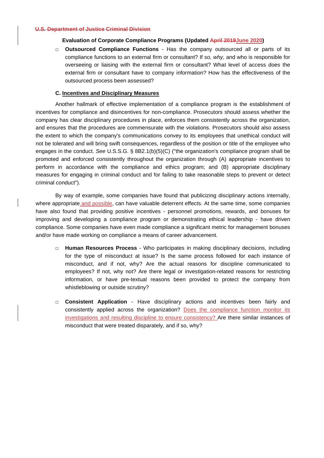#### **Evaluation of Corporate Compliance Programs (Updated April 2019June 2020)**

**□ Outsourced Compliance Functions** - Has the company outsourced all or parts of its compliance functions to an external firm or consultant? If *so, why,* and who is responsible for overseeing or liaising with the external firm or consultant? What level of access does the external firm or consultant have to company information? How has the effectiveness of the outsourced process been assessed?

## **C. Incentives and Disciplinary Measures**

Another hallmark of effective implementation of a compliance program is the establishment of incentives for compliance and disincentives for non-compliance. Prosecutors should assess whether the company has clear disciplinary procedures in place, enforces them consistently across the organization, and ensures that the procedures are commensurate with the violations. Prosecutors should also assess the extent to which the company's communications convey to its employees that unethical conduct will not be tolerated and will bring swift consequences, regardless of the position or title of the employee who engages in the conduct. *See* U.S.S.G. § 8B2.1(b)(5)(C) ("the organization's compliance program shall be promoted and enforced consistently throughout the organization through (A) appropriate incentives to perform in accordance with the compliance and ethics program; and (B) appropriate disciplinary measures for engaging in criminal conduct and for failing to take reasonable steps to prevent or detect criminal conduct").

By way of example, some companies have found that publicizing disciplinary actions internally, where appropriate and possible, can have valuable deterrent effects. At the same time, some companies have also found that providing positive incentives - personnel promotions, rewards, and bonuses for improving and developing a compliance program or demonstrating ethical leadership - have driven compliance. Some companies have even made compliance a significant metric for management bonuses and/or have made working on compliance a means of career advancement.

- **□ Human Resources Process** Who participates in making disciplinary decisions, including for the type of misconduct at issue? Is the same process followed for each instance of misconduct, and if not, why? Are the actual reasons for discipline communicated to employees? If not, why not? Are there legal or investigation-related reasons for restricting information, or have pre-textual reasons been provided to protect the company from whistleblowing or outside scrutiny?
- **□ Consistent Application** Have disciplinary actions and incentives been fairly and consistently applied across the organization? Does the compliance function monitor its investigations and resulting discipline to ensure consistency? Are there similar instances of misconduct that were treated disparately, and if so, why?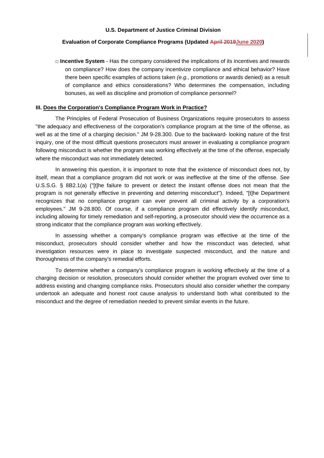#### **Evaluation of Corporate Compliance Programs (Updated April 2019June 2020)**

**□ Incentive System** - Has the company considered the implications of its incentives and rewards on compliance? How does the company incentivize compliance and ethical behavior? Have there been specific examples of actions taken *(e.g.,* promotions or awards denied) as a result of compliance and ethics considerations? Who determines the compensation, including bonuses, as well as discipline and promotion of compliance personnel?

#### **III. Does the Corporation's Compliance Program Work in Practice?**

The Principles of Federal Prosecution of Business Organizations require prosecutors to assess "the adequacy and effectiveness of the corporation's compliance program at the time of the offense, as well as at the time of a charging decision." JM 9-28.300. Due to the backward- looking nature of the first inquiry, one of the most difficult questions prosecutors must answer in evaluating a compliance program following misconduct is whether the program was working effectively at the time of the offense, especially where the misconduct was not immediately detected.

In answering this question, it is important to note that the existence of misconduct does not, by itself, mean that a compliance program did not work or was ineffective at the time of the offense. *See* U.S.S.G. § 8B2.1(a) ("[t]he failure to prevent or detect the instant offense does not mean that the program is not generally effective in preventing and deterring misconduct"). Indeed, "[t]he Department recognizes that no compliance program can ever prevent all criminal activity by a corporation's employees." JM 9-28.800. Of course, if a compliance program did effectively identify misconduct, including allowing for timely remediation and self-reporting, a prosecutor should view the occurrence as a strong indicator that the compliance program was working effectively.

In assessing whether a company's compliance program was effective at the time of the misconduct, prosecutors should consider whether and how the misconduct was detected, what investigation resources were in place to investigate suspected misconduct, and the nature and thoroughness of the company's remedial efforts.

To determine whether a company's compliance program is working effectively at the time of a charging decision or resolution, prosecutors should consider whether the program evolved over time to address existing and changing compliance risks. Prosecutors should also consider whether the company undertook an adequate and honest root cause analysis to understand both what contributed to the misconduct and the degree of remediation needed to prevent similar events in the future.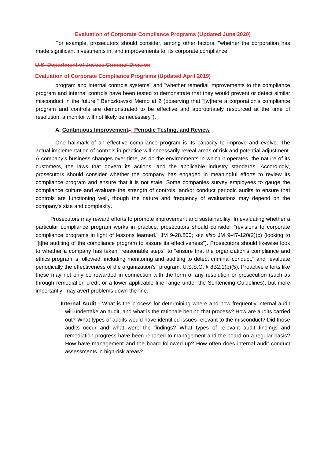#### **Evaluation of Corporate Compliance Programs (Updated June 2020)**

For example, prosecutors should consider, among other factors, "whether the corporation has made significant investments in, and improvements to, its corporate compliance

#### **U.S. Department of Justice Criminal Division**

#### **Evaluation of Corporate Compliance Programs (Updated April 2019)**

program and internal controls systems" and "whether remedial improvements to the compliance program and internal controls have been tested to demonstrate that they would prevent or detect similar misconduct in the future." Benczkowski Memo at 2 (observing that "[w]here a corporation's compliance program and controls are demonstrated to be effective and appropriately resourced at the time of resolution, a monitor will not likely be necessary").

#### **A. Continuous Improvement***.* **, Periodic Testing, and Review**

One hallmark of an effective compliance program is its capacity to improve and evolve. The actual implementation of controls in practice will necessarily reveal areas of risk and potential adjustment. A company's business changes over time, as do the environments in which it operates, the nature of its customers, the laws that govern its actions, and the applicable industry standards. Accordingly, prosecutors should consider whether the company has engaged in meaningful efforts to review its compliance program and ensure that it is not stale. Some companies survey employees to gauge the compliance culture and evaluate the strength of controls, and/or conduct periodic audits to ensure that controls are functioning well, though the nature and frequency of evaluations may depend on the company's size and complexity.

Prosecutors may reward efforts to promote improvement and sustainability. In evaluating whether a particular compliance program works in practice, prosecutors should consider "revisions to corporate compliance programs in light of lessons learned." JM 9-28.800; see *also* JM 9-47-120(2)(c) (looking to "[t]he auditing of the compliance program to assure its effectiveness"). Prosecutors should likewise look to whether a company has taken "reasonable steps" to "ensure that the organization's compliance and ethics program is followed, including monitoring and auditing to detect criminal conduct," and "evaluate periodically the effectiveness of the organization's" program. U.S.S.G. § 8B2.1(b)(5). Proactive efforts like these may not only be rewarded in connection with the form of any resolution or prosecution (such as through remediation credit or a lower applicable fine range under the Sentencing Guidelines), but more importantly, may avert problems down the line.

**□ Internal Audit** - What is the process for determining where and how frequently internal audit will undertake an audit, and what is the rationale behind that process? How are audits carried out? What types of audits would have identified issues relevant to the misconduct? Did those audits occur and what were the findings? What types of relevant audit findings and remediation progress have been reported to management and the board on a regular basis? How have management and the board followed up? How often does internal audit conduct assessments in high-risk areas?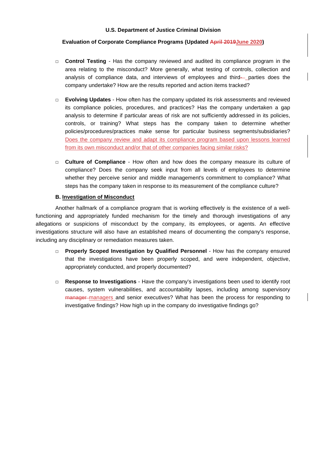## **Evaluation of Corporate Compliance Programs (Updated April 2019June 2020)**

- **□ Control Testing** Has the company reviewed and audited its compliance program in the area relating to the misconduct? More generally, what testing of controls, collection and analysis of compliance data, and interviews of employees and third- parties does the company undertake? How are the results reported and action items tracked?
- **□ Evolving Updates** How often has the company updated its risk assessments and reviewed its compliance policies, procedures, and practices? Has the company undertaken a gap analysis to determine if particular areas of risk are not sufficiently addressed in its policies, controls, or training? What steps has the company taken to determine whether policies/procedures/practices make sense for particular business segments/subsidiaries? Does the company review and adapt its compliance program based upon lessons learned from its own misconduct and/or that of other companies facing similar risks?
- **□ Culture of Compliance** How often and how does the company measure its culture of compliance? Does the company seek input from all levels of employees to determine whether they perceive senior and middle management's commitment to compliance? What steps has the company taken in response to its measurement of the compliance culture?

## **B. Investigation of Misconduct**

Another hallmark of a compliance program that is working effectively is the existence of a wellfunctioning and appropriately funded mechanism for the timely and thorough investigations of any allegations or suspicions of misconduct by the company, its employees, or agents. An effective investigations structure will also have an established means of documenting the company's response, including any disciplinary or remediation measures taken.

- **□ Properly Scoped Investigation by Qualified Personnel** How has the company ensured that the investigations have been properly scoped, and were independent, objective, appropriately conducted, and properly documented?
- **□ Response to Investigations** Have the company's investigations been used to identify root causes, system vulnerabilities, and accountability lapses, including among supervisory manager managers and senior executives? What has been the process for responding to investigative findings? How high up in the company do investigative findings go?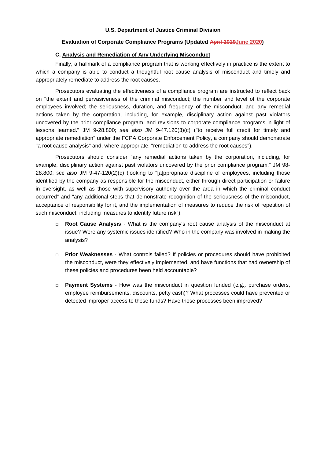#### **Evaluation of Corporate Compliance Programs (Updated April 2019June 2020)**

#### **C. Analysis and Remediation of Any Underlying Misconduct**

Finally, a hallmark of a compliance program that is working effectively in practice is the extent to which a company is able to conduct a thoughtful root cause analysis of misconduct and timely and appropriately remediate to address the root causes.

Prosecutors evaluating the effectiveness of a compliance program are instructed to reflect back on "the extent and pervasiveness of the criminal misconduct; the number and level of the corporate employees involved; the seriousness, duration, and frequency of the misconduct; and any remedial actions taken by the corporation, including, for example, disciplinary action against past violators uncovered by the prior compliance program, and revisions to corporate compliance programs in light of lessons learned." JM 9-28.800; *see also* JM 9-47.120(3)(c) ("to receive full credit for timely and appropriate remediation" under the FCPA Corporate Enforcement Policy, a company should demonstrate "a root cause analysis" and, where appropriate, "remediation to address the root causes").

Prosecutors should consider "any remedial actions taken by the corporation, including, for example, disciplinary action against past violators uncovered by the prior compliance program." JM 98- 28.800; see *also* JM 9-47-120(2)(c) (looking to "[a]ppropriate discipline of employees, including those identified by the company as responsible for the misconduct, either through direct participation or failure in oversight, as well as those with supervisory authority over the area in which the criminal conduct occurred" and "any additional steps that demonstrate recognition of the seriousness of the misconduct, acceptance of responsibility for it, and the implementation of measures to reduce the risk of repetition of such misconduct, including measures to identify future risk").

- **□ Root Cause Analysis** What is the company's root cause analysis of the misconduct at issue? Were any systemic issues identified? Who in the company was involved in making the analysis?
- **□ Prior Weaknesses** What controls failed? If policies or procedures should have prohibited the misconduct, were they effectively implemented, and have functions that had ownership of these policies and procedures been held accountable?
- **□ Payment Systems** How was the misconduct in question funded (e.g., purchase orders, employee reimbursements, discounts, petty cash)? What processes could have prevented or detected improper access to these funds? Have those processes been improved?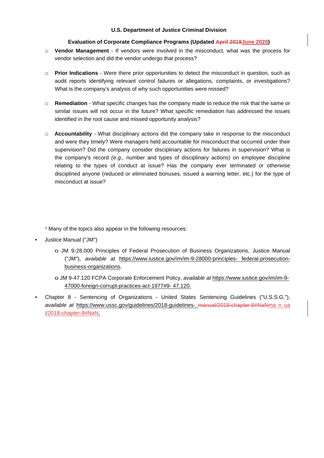## **Evaluation of Corporate Compliance Programs (Updated April 2019June 2020)**

- **□ Vendor Management** If vendors were involved in the misconduct, what was the process for vendor selection and did the vendor undergo that process?
- **□ Prior Indications** Were there prior opportunities to detect the misconduct in question, such as audit reports identifying relevant control failures or allegations, complaints, or investigations? What is the company's analysis of why such opportunities were missed?
- **□ Remediation** What specific changes has the company made to reduce the risk that the same or similar issues will not occur in the future? What specific remediation has addressed the issues identified in the root cause and missed opportunity analysis?
- **□ Accountability** What disciplinary actions did the company take in response to the misconduct and were they timely? Were managers held accountable for misconduct that occurred under their supervision? Did the company consider disciplinary actions for failures in supervision? What is the company's record *(e.g.,* number and types of disciplinary actions) on employee discipline relating to the types of conduct at issue? Has the company ever terminated or otherwise disciplined anyone (reduced or eliminated bonuses, issued a warning letter, etc.) for the type of misconduct at issue?

<sup>1</sup> Many of the topics also appear in the following resources:

- Justice Manual ("JM")
	- o JM 9-28.000 Principles of Federal Prosecution of Business Organizations, Justice Manual ("JM"), *available at* https://www.iustice.gov/im/im-9-28000-principles- federal-prosecutionbusiness-organizations.
	- o JM 9-47.120 FCPA Corporate Enforcement Policy, *available at* https://www.iustice.gov/im/im-9- 47000-foreign-corrupt-practices-act-1977#9- 47.120.
- Chapter 8 Sentencing of Organizations United States Sentencing Guidelines ("U.S.S.G."), *available at* https://www.ussc.gov/guidelines/2018-guidelines- manual/2018-chapter-8#NaNma n ua l/2018-chapter-8#NaN.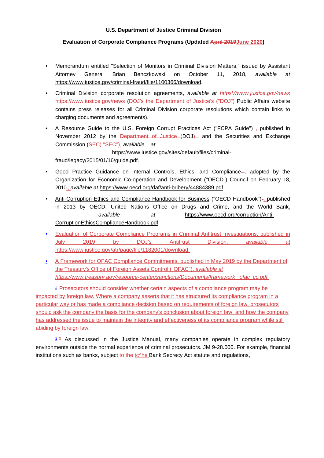## **Evaluation of Corporate Compliance Programs (Updated April 2019June 2020)**

- Memorandum entitled "Selection of Monitors in Criminal Division Matters," issued by Assistant Attorney General Brian Benczkowski on October 11, 2018, *available at*  https://www.iustice.gov/criminal-fraud/file/1100366/download.
- Criminal Division corporate resolution agreements, *available at httpsV/www.justice.gov/news* https://www.iustice.gov/news (DOJ's-the Department of Justice's ("DOJ") Public Affairs website contains press releases for all Criminal Division corporate resolutions which contain links to charging documents and agreements).
- A Resource Guide to the U.S. Foreign Corrupt Practices Act ("FCPA Guide")-, published in November 2012 by the Department of Justice (DOJ) and the Securities and Exchange Commission (SEC) "SEC"), *available at* https://www.iustice.gov/sites/default/files/criminal-

fraud/legacy/2015/01/16/guide.pdf.

- Good Practice Guidance on Internal Controls, Ethics, and Compliance-, adopted by the Organization for Economic Co-operation and Development ("OECD") Council on February 18, 2010 , *available at* https://www.oecd.org/daf/anti-bribery/44884389.pdf.
- Anti-Corruption Ethics and Compliance Handbook for Business ("OECD Handbook")-1published in 2013 by OECD, United Nations Office on Drugs and Crime, and the World Bank,  *available at* https://www.oecd.org/corruption/Anti-CorruptionEthicsComplianceHandbook.pdf.
- Evaluation of Corporate Compliance Programs in Criminal Antitrust Investigations, published in July 2019 by DOJ's Antitrust Division, *available at*  https://www.iustice.gov/atr/page/file/1182001/download.
- A Framework for OFAC Compliance Commitments, published in May 2019 by the Department of the Treasury's Office of Foreign Assets Control ("OFAC"), *available at https://www.treasurv.aov/resource-center/sanctions/Documents/framework \_ofac\_cc.pdf.*

<sup>2</sup> Prosecutors should consider whether certain aspects of a compliance program may be impacted by foreign law. Where a company asserts that it has structured its compliance program in a particular way or has made a compliance decision based on requirements of foreign law, prosecutors should ask the company the basis for the company's conclusion about foreign law, and how the company has addressed the issue to maintain the integrity and effectiveness of its compliance program while still abiding by foreign law.

 $3^2$ –As discussed in the Justice Manual, many companies operate in complex regulatory environments outside the normal experience of criminal prosecutors. JM 9-28.000. For example, financial institutions such as banks, subject to the  $tc$ <sup>h</sup>e Bank Secrecy Act statute and regulations,